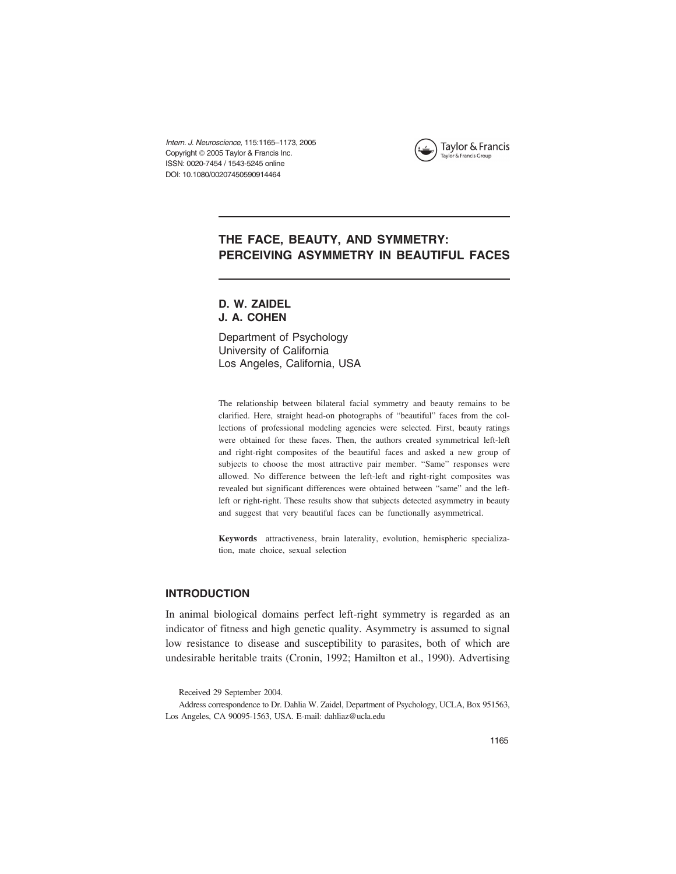Intern. J. Neuroscience, 115:1165–1173, 2005 Copyright © 2005 Taylor & Francis Inc. ISSN: 0020-7454 / 1543-5245 online DOI: 10.1080/00207450590914464



# **THE FACE, BEAUTY, AND SYMMETRY: PERCEIVING ASYMMETRY IN BEAUTIFUL FACES**

# **D. W. ZAIDEL J. A. COHEN**

Department of Psychology University of California Los Angeles, California, USA

The relationship between bilateral facial symmetry and beauty remains to be clarified. Here, straight head-on photographs of "beautiful" faces from the collections of professional modeling agencies were selected. First, beauty ratings were obtained for these faces. Then, the authors created symmetrical left-left and right-right composites of the beautiful faces and asked a new group of subjects to choose the most attractive pair member. "Same" responses were allowed. No difference between the left-left and right-right composites was revealed but significant differences were obtained between "same" and the leftleft or right-right. These results show that subjects detected asymmetry in beauty and suggest that very beautiful faces can be functionally asymmetrical.

**Keywords** attractiveness, brain laterality, evolution, hemispheric specialization, mate choice, sexual selection

# **INTRODUCTION**

In animal biological domains perfect left-right symmetry is regarded as an indicator of fitness and high genetic quality. Asymmetry is assumed to signal low resistance to disease and susceptibility to parasites, both of which are undesirable heritable traits (Cronin, 1992; Hamilton et al., 1990). Advertising

Received 29 September 2004.

Address correspondence to Dr. Dahlia W. Zaidel, Department of Psychology, UCLA, Box 951563, Los Angeles, CA 90095-1563, USA. E-mail: dahliaz@ucla.edu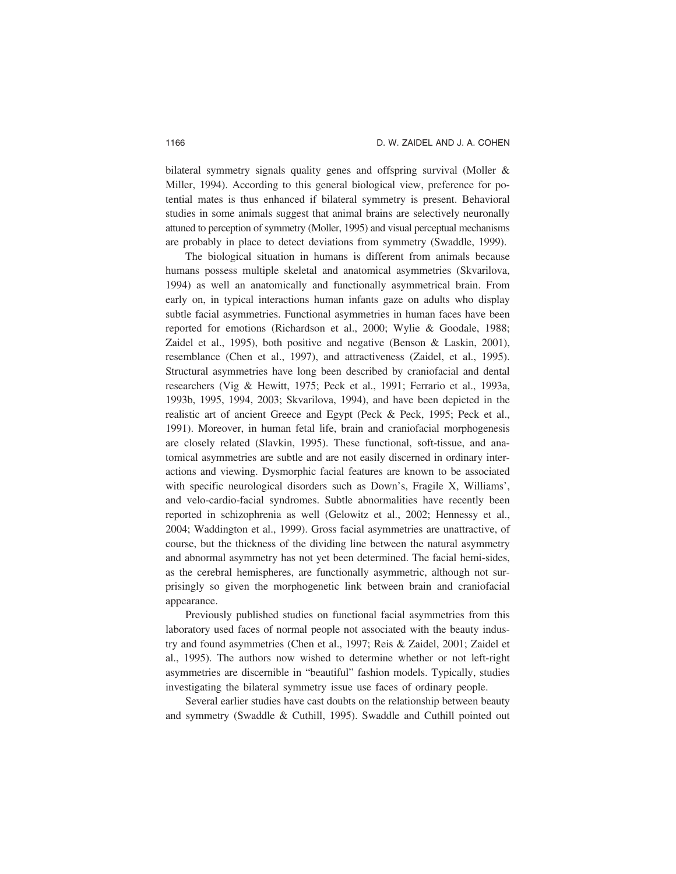bilateral symmetry signals quality genes and offspring survival (Moller & Miller, 1994). According to this general biological view, preference for potential mates is thus enhanced if bilateral symmetry is present. Behavioral studies in some animals suggest that animal brains are selectively neuronally attuned to perception of symmetry (Moller, 1995) and visual perceptual mechanisms are probably in place to detect deviations from symmetry (Swaddle, 1999).

The biological situation in humans is different from animals because humans possess multiple skeletal and anatomical asymmetries (Skvarilova, 1994) as well an anatomically and functionally asymmetrical brain. From early on, in typical interactions human infants gaze on adults who display subtle facial asymmetries. Functional asymmetries in human faces have been reported for emotions (Richardson et al., 2000; Wylie & Goodale, 1988; Zaidel et al., 1995), both positive and negative (Benson & Laskin, 2001), resemblance (Chen et al., 1997), and attractiveness (Zaidel, et al., 1995). Structural asymmetries have long been described by craniofacial and dental researchers (Vig & Hewitt, 1975; Peck et al., 1991; Ferrario et al., 1993a, 1993b, 1995, 1994, 2003; Skvarilova, 1994), and have been depicted in the realistic art of ancient Greece and Egypt (Peck & Peck, 1995; Peck et al., 1991). Moreover, in human fetal life, brain and craniofacial morphogenesis are closely related (Slavkin, 1995). These functional, soft-tissue, and anatomical asymmetries are subtle and are not easily discerned in ordinary interactions and viewing. Dysmorphic facial features are known to be associated with specific neurological disorders such as Down's, Fragile X, Williams', and velo-cardio-facial syndromes. Subtle abnormalities have recently been reported in schizophrenia as well (Gelowitz et al., 2002; Hennessy et al., 2004; Waddington et al., 1999). Gross facial asymmetries are unattractive, of course, but the thickness of the dividing line between the natural asymmetry and abnormal asymmetry has not yet been determined. The facial hemi-sides, as the cerebral hemispheres, are functionally asymmetric, although not surprisingly so given the morphogenetic link between brain and craniofacial appearance.

Previously published studies on functional facial asymmetries from this laboratory used faces of normal people not associated with the beauty industry and found asymmetries (Chen et al., 1997; Reis & Zaidel, 2001; Zaidel et al., 1995). The authors now wished to determine whether or not left-right asymmetries are discernible in "beautiful" fashion models. Typically, studies investigating the bilateral symmetry issue use faces of ordinary people.

Several earlier studies have cast doubts on the relationship between beauty and symmetry (Swaddle & Cuthill, 1995). Swaddle and Cuthill pointed out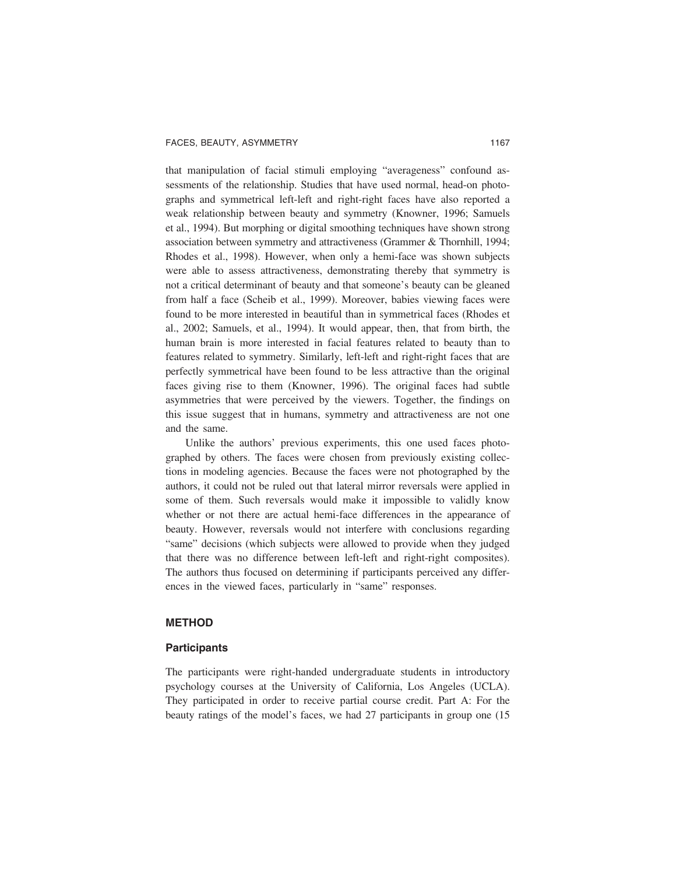that manipulation of facial stimuli employing "averageness" confound assessments of the relationship. Studies that have used normal, head-on photographs and symmetrical left-left and right-right faces have also reported a weak relationship between beauty and symmetry (Knowner, 1996; Samuels et al., 1994). But morphing or digital smoothing techniques have shown strong association between symmetry and attractiveness (Grammer & Thornhill, 1994; Rhodes et al., 1998). However, when only a hemi-face was shown subjects were able to assess attractiveness, demonstrating thereby that symmetry is not a critical determinant of beauty and that someone's beauty can be gleaned from half a face (Scheib et al., 1999). Moreover, babies viewing faces were found to be more interested in beautiful than in symmetrical faces (Rhodes et al., 2002; Samuels, et al., 1994). It would appear, then, that from birth, the human brain is more interested in facial features related to beauty than to features related to symmetry. Similarly, left-left and right-right faces that are perfectly symmetrical have been found to be less attractive than the original faces giving rise to them (Knowner, 1996). The original faces had subtle asymmetries that were perceived by the viewers. Together, the findings on this issue suggest that in humans, symmetry and attractiveness are not one and the same.

Unlike the authors' previous experiments, this one used faces photographed by others. The faces were chosen from previously existing collections in modeling agencies. Because the faces were not photographed by the authors, it could not be ruled out that lateral mirror reversals were applied in some of them. Such reversals would make it impossible to validly know whether or not there are actual hemi-face differences in the appearance of beauty. However, reversals would not interfere with conclusions regarding "same" decisions (which subjects were allowed to provide when they judged that there was no difference between left-left and right-right composites). The authors thus focused on determining if participants perceived any differences in the viewed faces, particularly in "same" responses.

#### **METHOD**

#### **Participants**

The participants were right-handed undergraduate students in introductory psychology courses at the University of California, Los Angeles (UCLA). They participated in order to receive partial course credit. Part A: For the beauty ratings of the model's faces, we had 27 participants in group one (15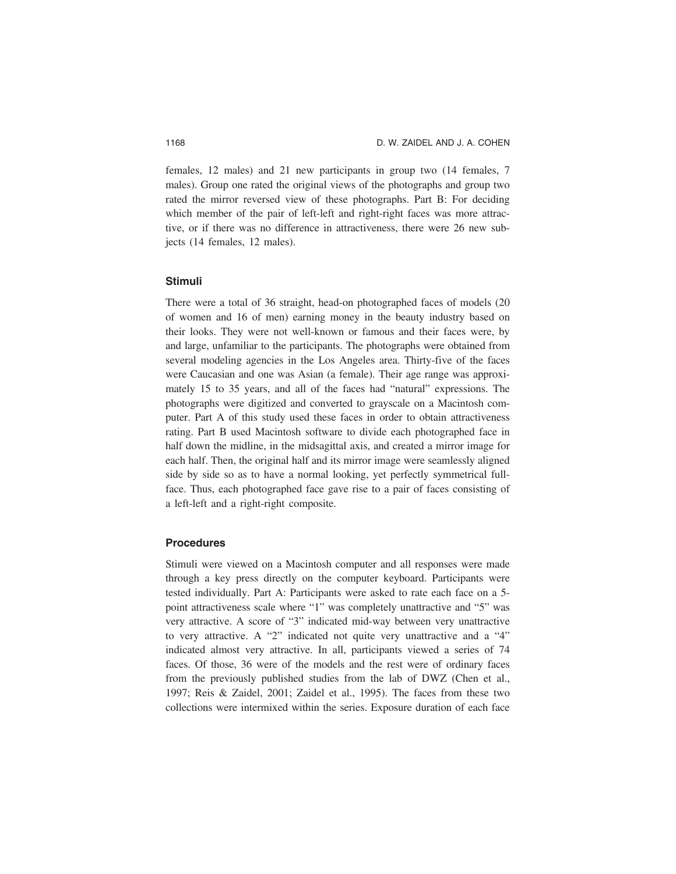females, 12 males) and 21 new participants in group two (14 females, 7 males). Group one rated the original views of the photographs and group two rated the mirror reversed view of these photographs. Part B: For deciding which member of the pair of left-left and right-right faces was more attractive, or if there was no difference in attractiveness, there were 26 new subjects (14 females, 12 males).

#### **Stimuli**

There were a total of 36 straight, head-on photographed faces of models (20 of women and 16 of men) earning money in the beauty industry based on their looks. They were not well-known or famous and their faces were, by and large, unfamiliar to the participants. The photographs were obtained from several modeling agencies in the Los Angeles area. Thirty-five of the faces were Caucasian and one was Asian (a female). Their age range was approximately 15 to 35 years, and all of the faces had "natural" expressions. The photographs were digitized and converted to grayscale on a Macintosh computer. Part A of this study used these faces in order to obtain attractiveness rating. Part B used Macintosh software to divide each photographed face in half down the midline, in the midsagittal axis, and created a mirror image for each half. Then, the original half and its mirror image were seamlessly aligned side by side so as to have a normal looking, yet perfectly symmetrical fullface. Thus, each photographed face gave rise to a pair of faces consisting of a left-left and a right-right composite.

# **Procedures**

Stimuli were viewed on a Macintosh computer and all responses were made through a key press directly on the computer keyboard. Participants were tested individually. Part A: Participants were asked to rate each face on a 5 point attractiveness scale where "1" was completely unattractive and "5" was very attractive. A score of "3" indicated mid-way between very unattractive to very attractive. A "2" indicated not quite very unattractive and a "4" indicated almost very attractive. In all, participants viewed a series of 74 faces. Of those, 36 were of the models and the rest were of ordinary faces from the previously published studies from the lab of DWZ (Chen et al., 1997; Reis & Zaidel, 2001; Zaidel et al., 1995). The faces from these two collections were intermixed within the series. Exposure duration of each face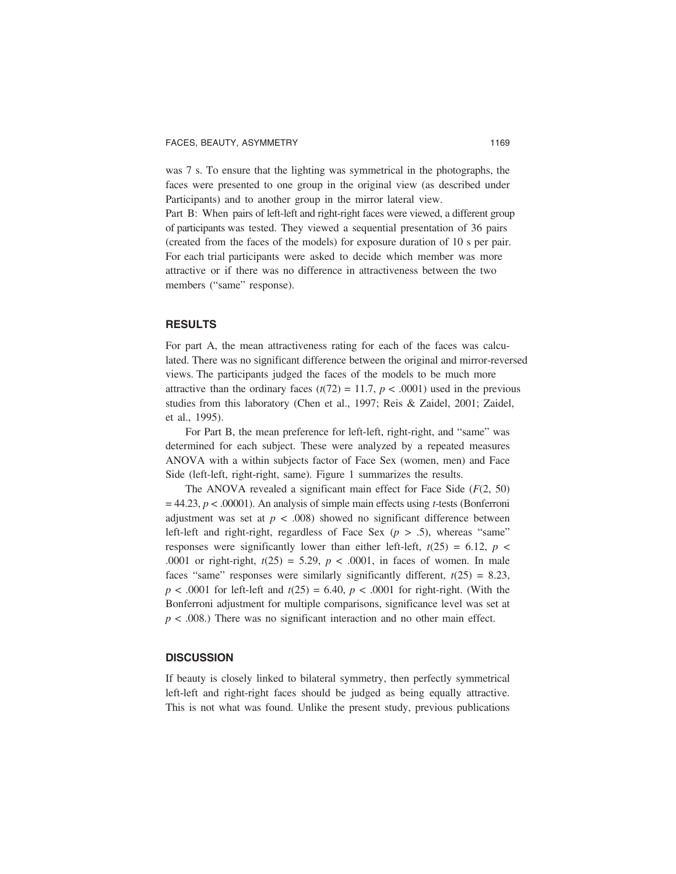was 7 s. To ensure that the lighting was symmetrical in the photographs, the faces were presented to one group in the original view (as described under Participants) and to another group in the mirror lateral view.

Part B: When pairs of left-left and right-right faces were viewed, a different group of participants was tested. They viewed a sequential presentation of 36 pairs (created from the faces of the models) for exposure duration of 10 s per pair. For each trial participants were asked to decide which member was more attractive or if there was no difference in attractiveness between the two members ("same" response).

# **RESULTS**

For part A, the mean attractiveness rating for each of the faces was calculated. There was no significant difference between the original and mirror-reversed views. The participants judged the faces of the models to be much more attractive than the ordinary faces  $(t(72) = 11.7, p < .0001)$  used in the previous studies from this laboratory (Chen et al., 1997; Reis & Zaidel, 2001; Zaidel, et al., 1995).

For Part B, the mean preference for left-left, right-right, and "same" was determined for each subject. These were analyzed by a repeated measures ANOVA with a within subjects factor of Face Sex (women, men) and Face Side (left-left, right-right, same). Figure 1 summarizes the results.

The ANOVA revealed a significant main effect for Face Side (*F*(2, 50)  $= 44.23$ ,  $p < .00001$ ). An analysis of simple main effects using *t*-tests (Bonferroni adjustment was set at  $p < .008$ ) showed no significant difference between left-left and right-right, regardless of Face Sex (*p* > .5), whereas "same" responses were significantly lower than either left-left,  $t(25) = 6.12$ ,  $p <$ .0001 or right-right,  $t(25) = 5.29$ ,  $p < .0001$ , in faces of women. In male faces "same" responses were similarly significantly different,  $t(25) = 8.23$ ,  $p < .0001$  for left-left and  $t(25) = 6.40$ ,  $p < .0001$  for right-right. (With the Bonferroni adjustment for multiple comparisons, significance level was set at  $p < .008$ .) There was no significant interaction and no other main effect.

## **DISCUSSION**

If beauty is closely linked to bilateral symmetry, then perfectly symmetrical left-left and right-right faces should be judged as being equally attractive. This is not what was found. Unlike the present study, previous publications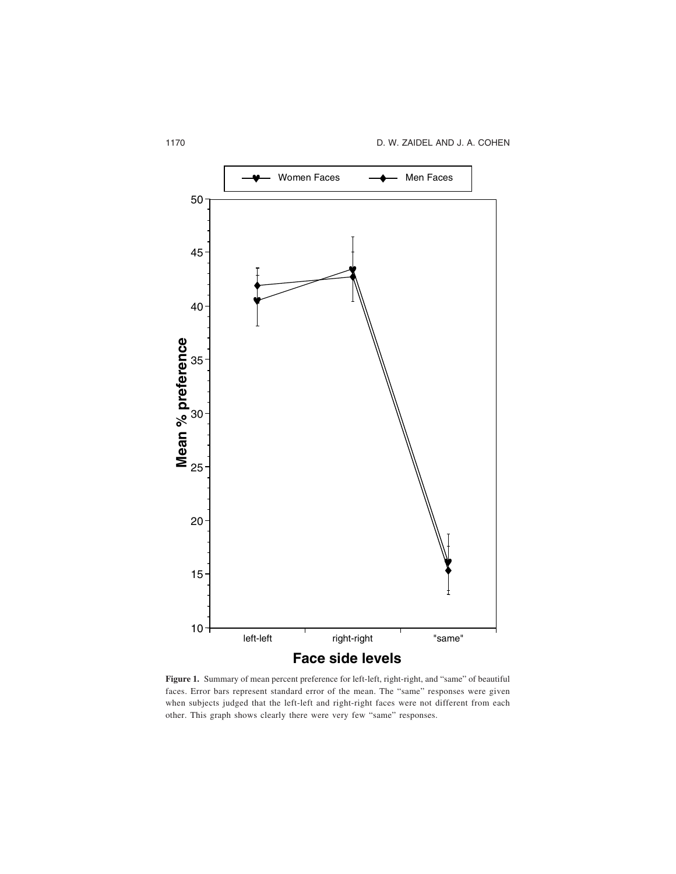

**Figure 1.** Summary of mean percent preference for left-left, right-right, and "same" of beautiful faces. Error bars represent standard error of the mean. The "same" responses were given when subjects judged that the left-left and right-right faces were not different from each other. This graph shows clearly there were very few "same" responses.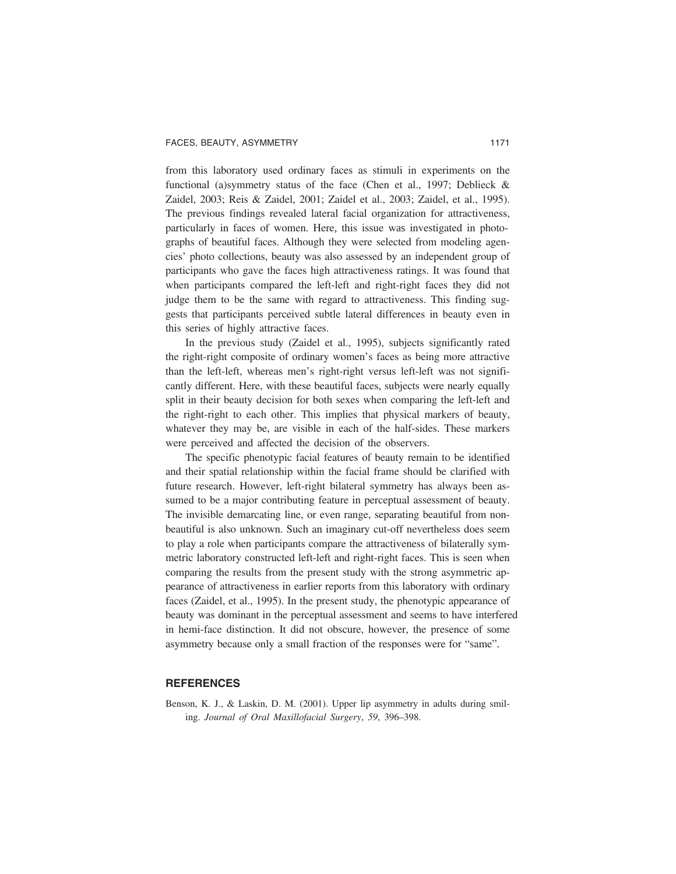from this laboratory used ordinary faces as stimuli in experiments on the functional (a)symmetry status of the face (Chen et al., 1997; Deblieck & Zaidel, 2003; Reis & Zaidel, 2001; Zaidel et al., 2003; Zaidel, et al., 1995). The previous findings revealed lateral facial organization for attractiveness, particularly in faces of women. Here, this issue was investigated in photographs of beautiful faces. Although they were selected from modeling agencies' photo collections, beauty was also assessed by an independent group of participants who gave the faces high attractiveness ratings. It was found that when participants compared the left-left and right-right faces they did not judge them to be the same with regard to attractiveness. This finding suggests that participants perceived subtle lateral differences in beauty even in this series of highly attractive faces.

In the previous study (Zaidel et al., 1995), subjects significantly rated the right-right composite of ordinary women's faces as being more attractive than the left-left, whereas men's right-right versus left-left was not significantly different. Here, with these beautiful faces, subjects were nearly equally split in their beauty decision for both sexes when comparing the left-left and the right-right to each other. This implies that physical markers of beauty, whatever they may be, are visible in each of the half-sides. These markers were perceived and affected the decision of the observers.

The specific phenotypic facial features of beauty remain to be identified and their spatial relationship within the facial frame should be clarified with future research. However, left-right bilateral symmetry has always been assumed to be a major contributing feature in perceptual assessment of beauty. The invisible demarcating line, or even range, separating beautiful from nonbeautiful is also unknown. Such an imaginary cut-off nevertheless does seem to play a role when participants compare the attractiveness of bilaterally symmetric laboratory constructed left-left and right-right faces. This is seen when comparing the results from the present study with the strong asymmetric appearance of attractiveness in earlier reports from this laboratory with ordinary faces (Zaidel, et al., 1995). In the present study, the phenotypic appearance of beauty was dominant in the perceptual assessment and seems to have interfered in hemi-face distinction. It did not obscure, however, the presence of some asymmetry because only a small fraction of the responses were for "same".

## **REFERENCES**

Benson, K. J., & Laskin, D. M. (2001). Upper lip asymmetry in adults during smiling. *Journal of Oral Maxillofacial Surgery*, *59*, 396–398.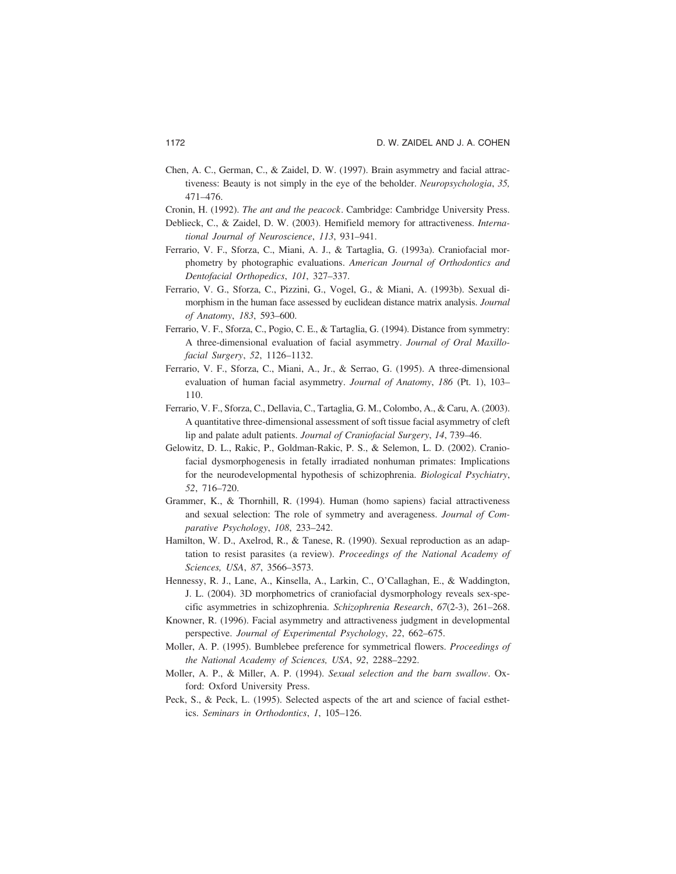- Chen, A. C., German, C., & Zaidel, D. W. (1997). Brain asymmetry and facial attractiveness: Beauty is not simply in the eye of the beholder. *Neuropsychologia*, *35,* 471–476.
- Cronin, H. (1992). *The ant and the peacock*. Cambridge: Cambridge University Press.
- Deblieck, C., & Zaidel, D. W. (2003). Hemifield memory for attractiveness. *International Journal of Neuroscience*, *113*, 931–941.
- Ferrario, V. F., Sforza, C., Miani, A. J., & Tartaglia, G. (1993a). Craniofacial morphometry by photographic evaluations. *American Journal of Orthodontics and Dentofacial Orthopedics*, *101*, 327–337.
- Ferrario, V. G., Sforza, C., Pizzini, G., Vogel, G., & Miani, A. (1993b). Sexual dimorphism in the human face assessed by euclidean distance matrix analysis. *Journal of Anatomy*, *183*, 593–600.
- Ferrario, V. F., Sforza, C., Pogio, C. E., & Tartaglia, G. (1994). Distance from symmetry: A three-dimensional evaluation of facial asymmetry. *Journal of Oral Maxillofacial Surgery*, *52*, 1126–1132.
- Ferrario, V. F., Sforza, C., Miani, A., Jr., & Serrao, G. (1995). A three-dimensional evaluation of human facial asymmetry. *Journal of Anatomy*, *186* (Pt. 1), 103– 110.
- Ferrario, V. F., Sforza, C., Dellavia, C., Tartaglia, G. M., Colombo, A., & Caru, A. (2003). A quantitative three-dimensional assessment of soft tissue facial asymmetry of cleft lip and palate adult patients. *Journal of Craniofacial Surgery*, *14*, 739–46.
- Gelowitz, D. L., Rakic, P., Goldman-Rakic, P. S., & Selemon, L. D. (2002). Craniofacial dysmorphogenesis in fetally irradiated nonhuman primates: Implications for the neurodevelopmental hypothesis of schizophrenia. *Biological Psychiatry*, *52*, 716–720.
- Grammer, K., & Thornhill, R. (1994). Human (homo sapiens) facial attractiveness and sexual selection: The role of symmetry and averageness. *Journal of Comparative Psychology*, *108*, 233–242.
- Hamilton, W. D., Axelrod, R., & Tanese, R. (1990). Sexual reproduction as an adaptation to resist parasites (a review). *Proceedings of the National Academy of Sciences, USA*, *87*, 3566–3573.
- Hennessy, R. J., Lane, A., Kinsella, A., Larkin, C., O'Callaghan, E., & Waddington, J. L. (2004). 3D morphometrics of craniofacial dysmorphology reveals sex-specific asymmetries in schizophrenia. *Schizophrenia Research*, *67*(2-3), 261–268.
- Knowner, R. (1996). Facial asymmetry and attractiveness judgment in developmental perspective. *Journal of Experimental Psychology*, *22*, 662–675.
- Moller, A. P. (1995). Bumblebee preference for symmetrical flowers. *Proceedings of the National Academy of Sciences, USA*, *92*, 2288–2292.
- Moller, A. P., & Miller, A. P. (1994). *Sexual selection and the barn swallow*. Oxford: Oxford University Press.
- Peck, S., & Peck, L. (1995). Selected aspects of the art and science of facial esthetics. *Seminars in Orthodontics*, *1*, 105–126.